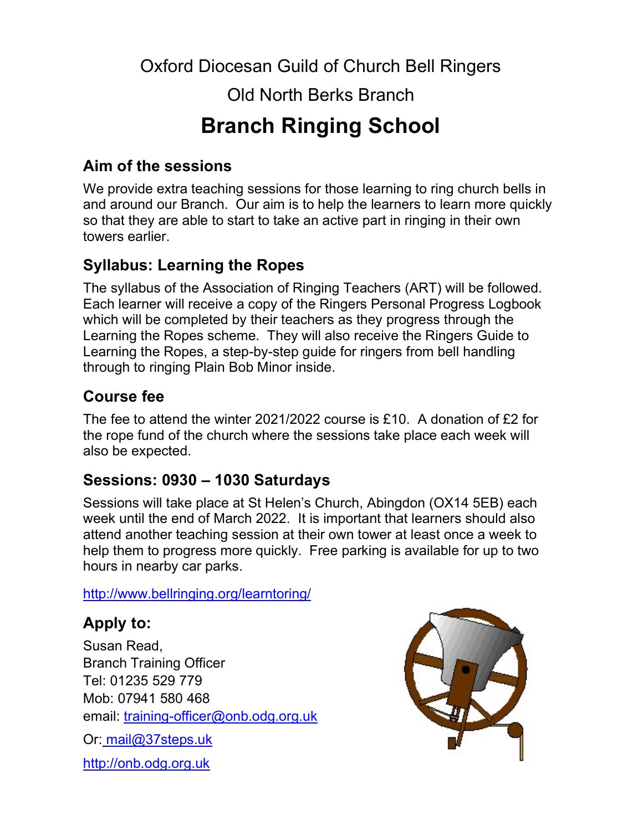Oxford Diocesan Guild of Church Bell Ringers

Old North Berks Branch

# Branch Ringing School

### Aim of the sessions

We provide extra teaching sessions for those learning to ring church bells in and around our Branch. Our aim is to help the learners to learn more quickly so that they are able to start to take an active part in ringing in their own towers earlier.

## Syllabus: Learning the Ropes

The syllabus of the Association of Ringing Teachers (ART) will be followed. Each learner will receive a copy of the Ringers Personal Progress Logbook which will be completed by their teachers as they progress through the Learning the Ropes scheme. They will also receive the Ringers Guide to Learning the Ropes, a step-by-step guide for ringers from bell handling through to ringing Plain Bob Minor inside.

#### Course fee

The fee to attend the winter 2021/2022 course is £10. A donation of £2 for the rope fund of the church where the sessions take place each week will also be expected.

## Sessions: 0930 – 1030 Saturdays

Sessions will take place at St Helen's Church, Abingdon (OX14 5EB) each week until the end of March 2022. It is important that learners should also attend another teaching session at their own tower at least once a week to help them to progress more quickly. Free parking is available for up to two hours in nearby car parks.

http://www.bellringing.org/learntoring/

## Apply to:

Susan Read, Branch Training Officer Tel: 01235 529 779 Mob: 07941 580 468 email: training-officer@onb.odg.org.uk

Or: mail@37steps.uk

http://onb.odg.org.uk